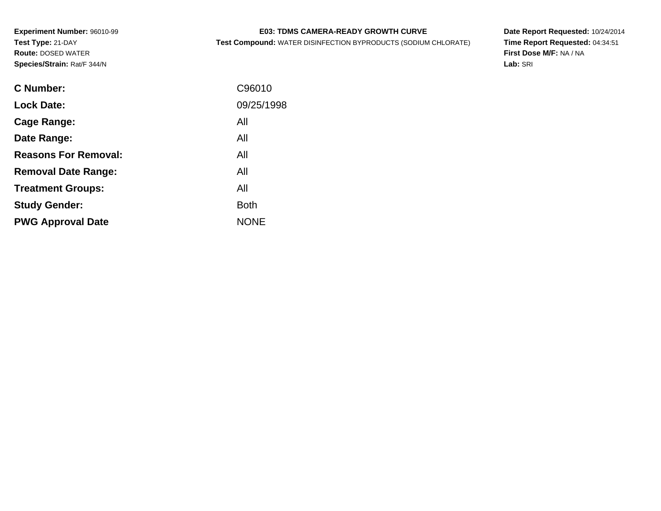# **E03: TDMS CAMERA-READY GROWTH CURVE**

**Test Compound:** WATER DISINFECTION BYPRODUCTS (SODIUM CHLORATE)

**Date Report Requested:** 10/24/2014 **Time Report Requested:** 04:34:51**First Dose M/F:** NA / NA**Lab:** SRI

| <b>C</b> Number:            | C96010      |
|-----------------------------|-------------|
|                             |             |
| <b>Lock Date:</b>           | 09/25/1998  |
| Cage Range:                 | All         |
| Date Range:                 | All         |
| <b>Reasons For Removal:</b> | All         |
| <b>Removal Date Range:</b>  | All         |
| <b>Treatment Groups:</b>    | All         |
| <b>Study Gender:</b>        | <b>Both</b> |
| <b>PWG Approval Date</b>    | <b>NONE</b> |
|                             |             |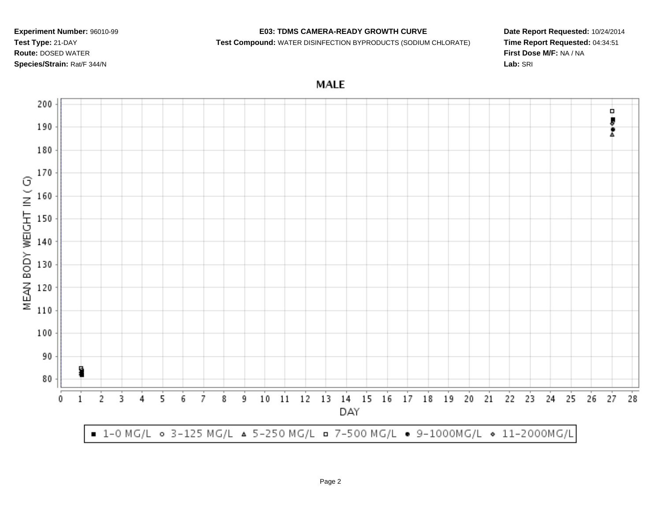## **E03: TDMS CAMERA-READY GROWTH CURVE**

**Test Compound:** WATER DISINFECTION BYPRODUCTS (SODIUM CHLORATE)

**Date Report Requested:** 10/24/2014**Time Report Requested:** 04:34:51**First Dose M/F:** NA / NA**Lab:** SRI

**MALE** 

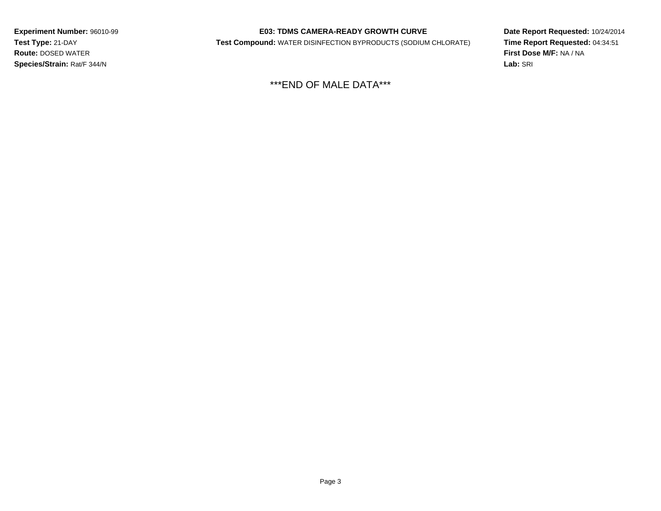## **E03: TDMS CAMERA-READY GROWTH CURVE**

**Test Compound:** WATER DISINFECTION BYPRODUCTS (SODIUM CHLORATE)

**Date Report Requested:** 10/24/2014**Time Report Requested:** 04:34:51**First Dose M/F:** NA / NA**Lab:** SRI

\*\*\*END OF MALE DATA\*\*\*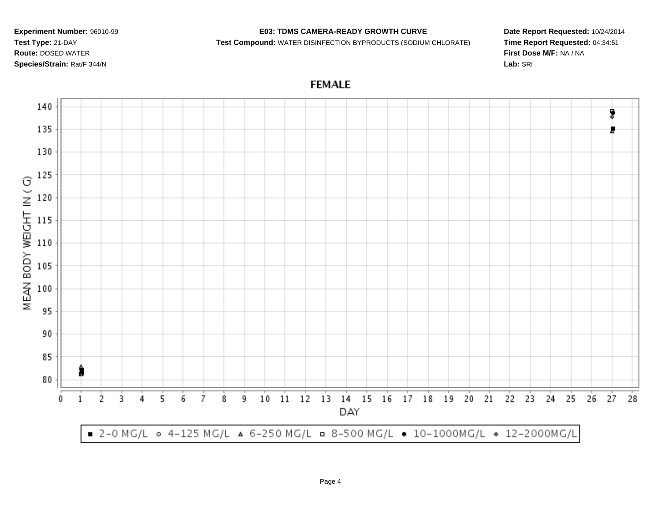## **E03: TDMS CAMERA-READY GROWTH CURVE**

**Test Compound:** WATER DISINFECTION BYPRODUCTS (SODIUM CHLORATE)

**Date Report Requested:** 10/24/2014**Time Report Requested:** 04:34:51**First Dose M/F:** NA / NA**Lab:** SRI

**FEMALE**